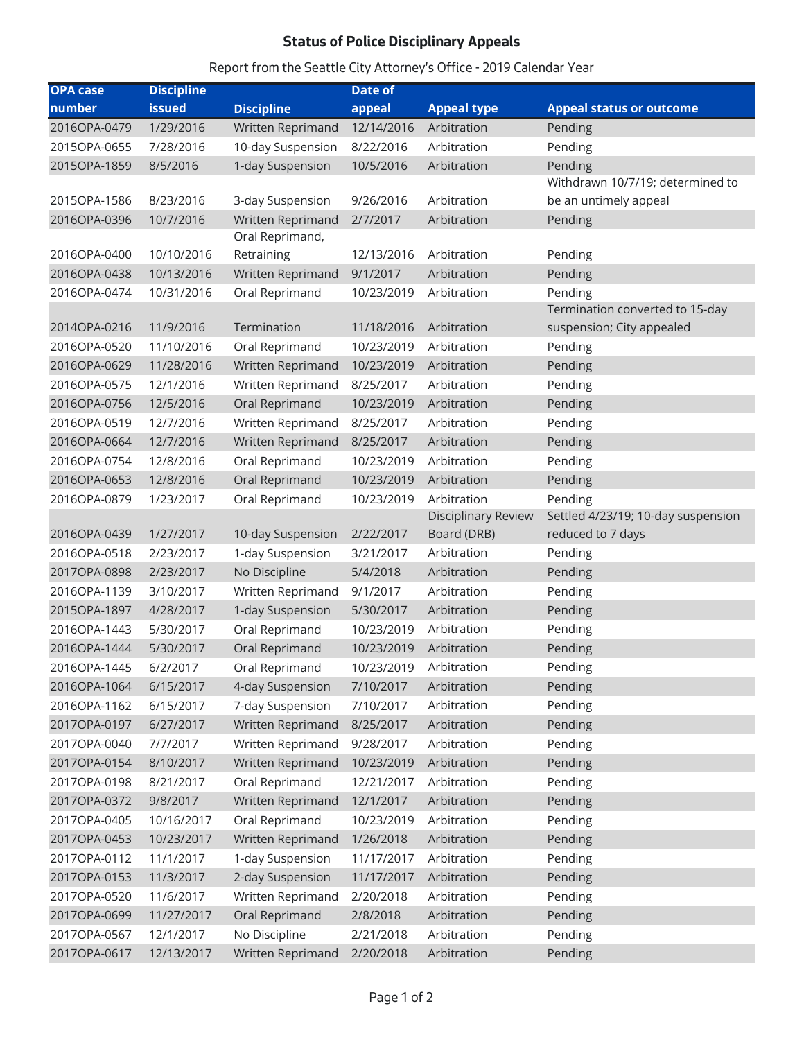## **Status of Police Disciplinary Appeals**

## *Report from the Seattle City Attorney's Office - 2019 Calendar Year*

| <b>OPA case</b> | <b>Discipline</b> |                   | <b>Date of</b> |                     |                                    |
|-----------------|-------------------|-------------------|----------------|---------------------|------------------------------------|
| number          | <b>issued</b>     | <b>Discipline</b> | appeal         | <b>Appeal type</b>  | <b>Appeal status or outcome</b>    |
| 2016OPA-0479    | 1/29/2016         | Written Reprimand | 12/14/2016     | Arbitration         | Pending                            |
| 2015OPA-0655    | 7/28/2016         | 10-day Suspension | 8/22/2016      | Arbitration         | Pending                            |
| 2015OPA-1859    | 8/5/2016          | 1-day Suspension  | 10/5/2016      | Arbitration         | Pending                            |
|                 |                   |                   |                |                     | Withdrawn 10/7/19; determined to   |
| 2015OPA-1586    | 8/23/2016         | 3-day Suspension  | 9/26/2016      | Arbitration         | be an untimely appeal              |
| 2016OPA-0396    | 10/7/2016         | Written Reprimand | 2/7/2017       | Arbitration         | Pending                            |
|                 |                   | Oral Reprimand,   |                |                     |                                    |
| 2016OPA-0400    | 10/10/2016        | Retraining        | 12/13/2016     | Arbitration         | Pending                            |
| 2016OPA-0438    | 10/13/2016        | Written Reprimand | 9/1/2017       | Arbitration         | Pending                            |
| 2016OPA-0474    | 10/31/2016        | Oral Reprimand    | 10/23/2019     | Arbitration         | Pending                            |
|                 |                   |                   |                |                     | Termination converted to 15-day    |
| 2014OPA-0216    | 11/9/2016         | Termination       | 11/18/2016     | Arbitration         | suspension; City appealed          |
| 2016OPA-0520    | 11/10/2016        | Oral Reprimand    | 10/23/2019     | Arbitration         | Pending                            |
| 2016OPA-0629    | 11/28/2016        | Written Reprimand | 10/23/2019     | Arbitration         | Pending                            |
| 2016OPA-0575    | 12/1/2016         | Written Reprimand | 8/25/2017      | Arbitration         | Pending                            |
| 2016OPA-0756    | 12/5/2016         | Oral Reprimand    | 10/23/2019     | Arbitration         | Pending                            |
| 2016OPA-0519    | 12/7/2016         | Written Reprimand | 8/25/2017      | Arbitration         | Pending                            |
| 2016OPA-0664    | 12/7/2016         | Written Reprimand | 8/25/2017      | Arbitration         | Pending                            |
| 2016OPA-0754    | 12/8/2016         | Oral Reprimand    | 10/23/2019     | Arbitration         | Pending                            |
| 2016OPA-0653    | 12/8/2016         | Oral Reprimand    | 10/23/2019     | Arbitration         | Pending                            |
| 2016OPA-0879    | 1/23/2017         | Oral Reprimand    | 10/23/2019     | Arbitration         | Pending                            |
|                 |                   |                   |                | Disciplinary Review | Settled 4/23/19; 10-day suspension |
| 2016OPA-0439    | 1/27/2017         | 10-day Suspension | 2/22/2017      | Board (DRB)         | reduced to 7 days                  |
| 2016OPA-0518    | 2/23/2017         | 1-day Suspension  | 3/21/2017      | Arbitration         | Pending                            |
| 2017OPA-0898    | 2/23/2017         | No Discipline     | 5/4/2018       | Arbitration         | Pending                            |
| 2016OPA-1139    | 3/10/2017         | Written Reprimand | 9/1/2017       | Arbitration         | Pending                            |
| 2015OPA-1897    | 4/28/2017         | 1-day Suspension  | 5/30/2017      | Arbitration         | Pending                            |
| 2016OPA-1443    | 5/30/2017         | Oral Reprimand    | 10/23/2019     | Arbitration         | Pending                            |
| 2016OPA-1444    | 5/30/2017         | Oral Reprimand    | 10/23/2019     | Arbitration         | Pending                            |
| 2016OPA-1445    | 6/2/2017          | Oral Reprimand    | 10/23/2019     | Arbitration         | Pending                            |
| 2016OPA-1064    | 6/15/2017         | 4-day Suspension  | 7/10/2017      | Arbitration         | Pending                            |
| 2016OPA-1162    | 6/15/2017         | 7-day Suspension  | 7/10/2017      | Arbitration         | Pending                            |
| 2017OPA-0197    | 6/27/2017         | Written Reprimand | 8/25/2017      | Arbitration         | Pending                            |
| 2017OPA-0040    | 7/7/2017          | Written Reprimand | 9/28/2017      | Arbitration         | Pending                            |
| 2017OPA-0154    | 8/10/2017         | Written Reprimand | 10/23/2019     | Arbitration         | Pending                            |
| 2017OPA-0198    | 8/21/2017         | Oral Reprimand    | 12/21/2017     | Arbitration         | Pending                            |
| 2017OPA-0372    | 9/8/2017          | Written Reprimand | 12/1/2017      | Arbitration         | Pending                            |
| 2017OPA-0405    | 10/16/2017        | Oral Reprimand    | 10/23/2019     | Arbitration         | Pending                            |
| 2017OPA-0453    | 10/23/2017        | Written Reprimand | 1/26/2018      | Arbitration         | Pending                            |
| 2017OPA-0112    | 11/1/2017         | 1-day Suspension  | 11/17/2017     | Arbitration         | Pending                            |
| 2017OPA-0153    | 11/3/2017         | 2-day Suspension  | 11/17/2017     | Arbitration         | Pending                            |
| 2017OPA-0520    | 11/6/2017         | Written Reprimand | 2/20/2018      | Arbitration         | Pending                            |
| 2017OPA-0699    | 11/27/2017        | Oral Reprimand    | 2/8/2018       | Arbitration         | Pending                            |
| 2017OPA-0567    | 12/1/2017         | No Discipline     | 2/21/2018      | Arbitration         | Pending                            |
| 2017OPA-0617    | 12/13/2017        | Written Reprimand | 2/20/2018      | Arbitration         | Pending                            |